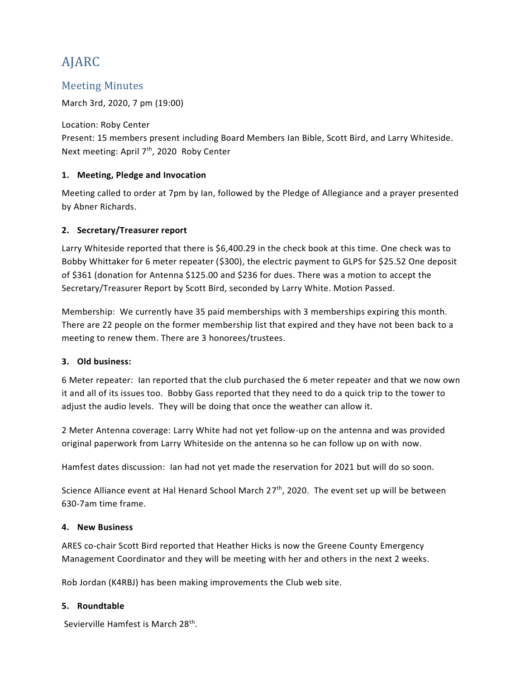# AJARC

# Meeting Minutes

March 3rd, 2020, 7 pm (19:00)

Location: Roby Center Present: 15 members present including Board Members Ian Bible, Scott Bird, and Larry Whiteside. Next meeting: April 7<sup>th</sup>, 2020 Roby Center

# **1. Meeting, Pledge and Invocation**

Meeting called to order at 7pm by Ian, followed by the Pledge of Allegiance and a prayer presented by Abner Richards.

# **2. Secretary/Treasurer report**

Larry Whiteside reported that there is \$6,400.29 in the check book at this time. One check was to Bobby Whittaker for 6 meter repeater (\$300), the electric payment to GLPS for \$25.52 One deposit of \$361 (donation for Antenna \$125.00 and \$236 for dues. There was a motion to accept the Secretary/Treasurer Report by Scott Bird, seconded by Larry White. Motion Passed.

Membership: We currently have 35 paid memberships with 3 memberships expiring this month. There are 22 people on the former membership list that expired and they have not been back to a meeting to renew them. There are 3 honorees/trustees.

### **3. Old business:**

6 Meter repeater: Ian reported that the club purchased the 6 meter repeater and that we now own it and all of its issues too. Bobby Gass reported that they need to do a quick trip to the tower to adjust the audio levels. They will be doing that once the weather can allow it.

2 Meter Antenna coverage: Larry White had not yet follow-up on the antenna and was provided original paperwork from Larry Whiteside on the antenna so he can follow up on with now.

Hamfest dates discussion: Ian had not yet made the reservation for 2021 but will do so soon.

Science Alliance event at Hal Henard School March 27<sup>th</sup>, 2020. The event set up will be between 630-7am time frame.

### **4. New Business**

ARES co-chair Scott Bird reported that Heather Hicks is now the Greene County Emergency Management Coordinator and they will be meeting with her and others in the next 2 weeks.

Rob Jordan (K4RBJ) has been making improvements the Club web site.

### **5. Roundtable**

Sevierville Hamfest is March 28<sup>th</sup>.